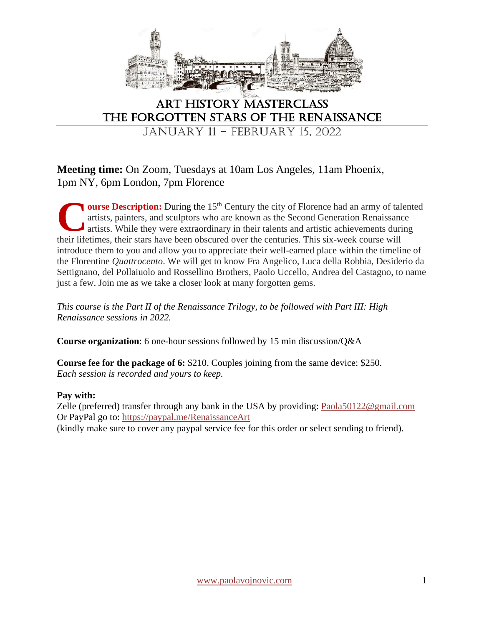

## Art History Masterclass The Forgotten Stars of the Renaissance

JANUARY 11 – FEBRUARY 15, 2022

## **Meeting time:** On Zoom, Tuesdays at 10am Los Angeles, 11am Phoenix, 1pm NY, 6pm London, 7pm Florence

**ourse Description:** During the 15<sup>th</sup> Century the city of Florence had an army of talented artists, painters, and sculptors who are known as the Second Generation Renaissance artists. While they were extraordinary in their talents and artistic achievements during **Course Description:** During the 15<sup>th</sup> Century the city of Florence had an army of talentists, painters, and sculptors who are known as the Second Generation Renaissance artists. While they were extraordinary in their tal introduce them to you and allow you to appreciate their well-earned place within the timeline of the Florentine *Quattrocento*. We will get to know Fra Angelico, Luca della Robbia, Desiderio da Settignano, del Pollaiuolo and Rossellino Brothers, Paolo Uccello, Andrea del Castagno, to name just a few. Join me as we take a closer look at many forgotten gems.

*This course is the Part II of the Renaissance Trilogy, to be followed with Part III: High Renaissance sessions in 2022.*

**Course organization**: 6 one-hour sessions followed by 15 min discussion/Q&A

**Course fee for the package of 6:** \$210. Couples joining from the same device: \$250. *Each session is recorded and yours to keep.* 

## **Pay with:**

Zelle (preferred) transfer through any bank in the USA by providing: [Paola50122@gmail.com](mailto:Paola50122@gmail.com) Or PayPal go to:<https://paypal.me/RenaissanceArt>

(kindly make sure to cover any paypal service fee for this order or select sending to friend).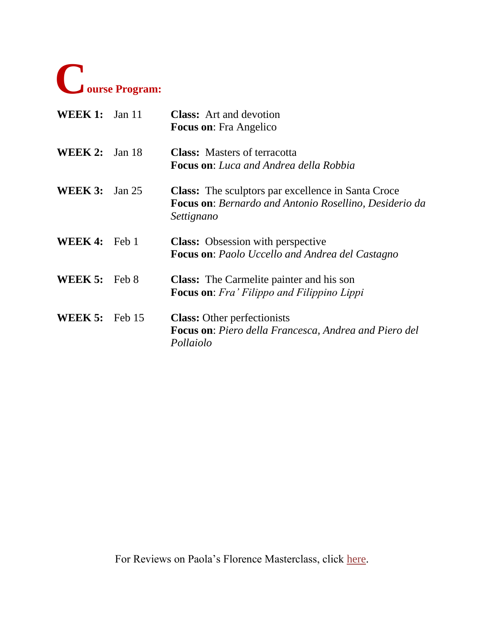

| WEEK 1:        | Jan $11$ | <b>Class:</b> Art and devotion<br><b>Focus on:</b> Fra Angelico                                                                          |
|----------------|----------|------------------------------------------------------------------------------------------------------------------------------------------|
| WEEK 2:        | Jan 18   | <b>Class:</b> Masters of terracotta<br><b>Focus on:</b> Luca and Andrea della Robbia                                                     |
| <b>WEEK 3:</b> | Jan 25   | <b>Class:</b> The sculptors par excellence in Santa Croce<br><b>Focus on:</b> Bernardo and Antonio Rosellino, Desiderio da<br>Settignano |
| <b>WEEK4:</b>  | Feb 1    | <b>Class:</b> Obsession with perspective<br><b>Focus on:</b> Paolo Uccello and Andrea del Castagno                                       |
| <b>WEEK 5:</b> | Feb 8    | <b>Class:</b> The Carmelite painter and his son<br><b>Focus on:</b> Fra' Filippo and Filippino Lippi                                     |
| WEEK 5:        | Feb 15   | <b>Class:</b> Other perfectionists<br>Focus on: Piero della Francesca, Andrea and Piero del<br>Pollaiolo                                 |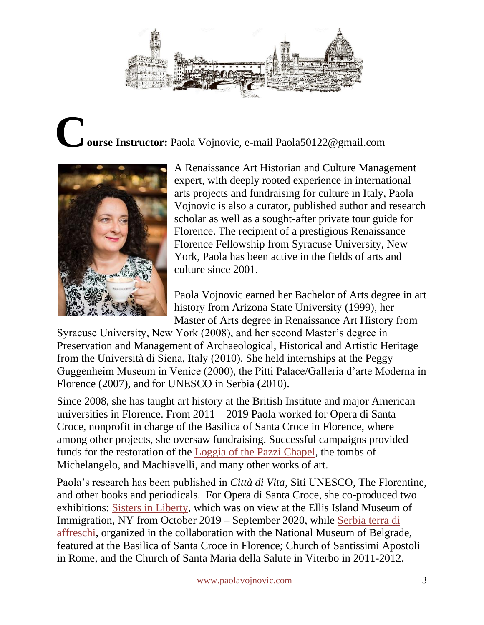

## **ourse Instructor:** Paola Vojnovic, e-mail Paola50122@gmail.com **C**



A Renaissance Art Historian and Culture Management expert, with deeply rooted experience in international arts projects and fundraising for culture in Italy, Paola Vojnovic is also a curator, published author and research scholar as well as a sought-after private tour guide for Florence. The recipient of a prestigious Renaissance Florence Fellowship from Syracuse University, New York, Paola has been active in the fields of arts and culture since 2001.

Paola Vojnovic earned her Bachelor of Arts degree in art history from Arizona State University (1999), her Master of Arts degree in Renaissance Art History from

Syracuse University, New York (2008), and her second Master's degree in Preservation and Management of Archaeological, Historical and Artistic Heritage from the Università di Siena, Italy (2010). She held internships at the Peggy Guggenheim Museum in Venice (2000), the Pitti Palace/Galleria d'arte Moderna in Florence (2007), and for UNESCO in Serbia (2010).

Since 2008, she has taught art history at the British Institute and major American universities in Florence. From 2011 – 2019 Paola worked for Opera di Santa Croce, nonprofit in charge of the Basilica of Santa Croce in Florence, where among other projects, she oversaw fundraising. Successful campaigns provided funds for the restoration of the [Loggia of the Pazzi Chapel,](https://www.kickstarter.com/projects/santacroceopera/restoration-of-pazzi-chapel-loggia-at-church-of-sa?ref=nav_search&result=project&term=opera%20di%20santa%20) the tombs of Michelangelo, and Machiavelli, and many other works of art.

Paola's research has been published in *Città di Vita*, Siti UNESCO, The Florentine, and other books and periodicals. For Opera di Santa Croce, she co-produced two exhibitions: [Sisters in Liberty,](http://www.sistersinliberty.com/) which was on view at the Ellis Island Museum of Immigration, NY from October 2019 – September 2020, while [Serbia terra di](https://issuu.com/ninatodorovic/docs/serbia_terra_di_affreschi_final_net)  [affreschi,](https://issuu.com/ninatodorovic/docs/serbia_terra_di_affreschi_final_net) organized in the collaboration with the National Museum of Belgrade, featured at the Basilica of Santa Croce in Florence; Church of Santissimi Apostoli in Rome, and the Church of Santa Maria della Salute in Viterbo in 2011-2012.